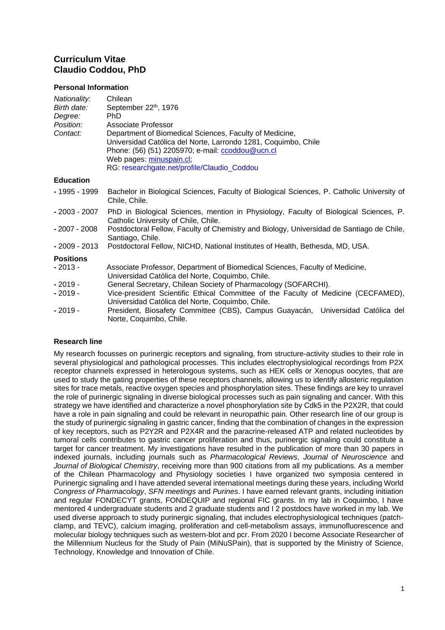# **Curriculum Vitae Claudio Coddou, PhD**

### **Personal Information**

| Nationality:<br>Birth date:<br>Degree:<br>Position:<br>Contact: | Chilean<br>September 22 <sup>th</sup> , 1976<br><b>PhD</b><br>Associate Professor<br>Department of Biomedical Sciences, Faculty of Medicine,<br>Universidad Católica del Norte, Larrondo 1281, Coquimbo, Chile<br>Phone: (56) (51) 2205970; e-mail: ccoddou@ucn.cl<br>Web pages: minuspain.cl;<br>RG: researchgate.net/profile/Claudio_Coddou |
|-----------------------------------------------------------------|-----------------------------------------------------------------------------------------------------------------------------------------------------------------------------------------------------------------------------------------------------------------------------------------------------------------------------------------------|
| <b>Education</b>                                                |                                                                                                                                                                                                                                                                                                                                               |
| - 1995 - 1999                                                   | Bachelor in Biological Sciences, Faculty of Biological Sciences, P. Catholic University of<br>Chile, Chile.                                                                                                                                                                                                                                   |
| $-2003 - 2007$                                                  | PhD in Biological Sciences, mention in Physiology, Faculty of Biological Sciences, P.<br>Catholic University of Chile, Chile.                                                                                                                                                                                                                 |
| - 2007 - 2008                                                   | Postdoctoral Fellow, Faculty of Chemistry and Biology, Universidad de Santiago de Chile,<br>Santiago, Chile.                                                                                                                                                                                                                                  |
| - 2009 - 2013                                                   | Postdoctoral Fellow, NICHD, National Institutes of Health, Bethesda, MD, USA.                                                                                                                                                                                                                                                                 |
| <b>Positions</b><br>- 2013 -                                    | Associate Professor, Department of Biomedical Sciences, Faculty of Medicine,<br>Universidad Católica del Norte, Coquimbo, Chile.                                                                                                                                                                                                              |
| $-2019-$                                                        | General Secretary, Chilean Society of Pharmacology (SOFARCHI).                                                                                                                                                                                                                                                                                |
| $-2019-$                                                        | Vice-president Scientific Ethical Committee of the Faculty of Medicine (CECFAMED),<br>Universidad Católica del Norte, Coquimbo, Chile.                                                                                                                                                                                                        |
| $-2019-$                                                        | President, Biosafety Committee (CBS), Campus Guayacán, Universidad Católica del<br>Norte, Coquimbo, Chile.                                                                                                                                                                                                                                    |

## **Research line**

My research focusses on purinergic receptors and signaling, from structure-activity studies to their role in several physiological and pathological processes. This includes electrophysiological recordings from P2X receptor channels expressed in heterologous systems, such as HEK cells or Xenopus oocytes, that are used to study the gating properties of these receptors channels, allowing us to identify allosteric regulation sites for trace metals, reactive oxygen species and phosphorylation sites. These findings are key to unravel the role of purinergic signaling in diverse biological processes such as pain signaling and cancer. With this strategy we have identified and characterize a novel phosphorylation site by Cdk5 in the P2X2R, that could have a role in pain signaling and could be relevant in neuropathic pain. Other research line of our group is the study of purinergic signaling in gastric cancer, finding that the combination of changes in the expression of key receptors, such as P2Y2R and P2X4R and the paracrine-released ATP and related nucleotides by tumoral cells contributes to gastric cancer proliferation and thus, purinergic signaling could constitute a target for cancer treatment. My investigations have resulted in the publication of more than 30 papers in indexed journals, including journals such as *Pharmacological Reviews*, *Journal of Neuroscience* and *Journal of Biological Chemistry*, receiving more than 900 citations from all my publications. As a member of the Chilean Pharmacology and Physiology societies I have organized two symposia centered in Purinergic signaling and I have attended several international meetings during these years, including World *Congress of Pharmacology*, *SFN meetings* and *Purines*. I have earned relevant grants, including initiation and regular FONDECYT grants, FONDEQUIP and regional FIC grants. In my lab in Coquimbo, I have mentored 4 undergraduate students and 2 graduate students and I 2 postdocs have worked in my lab. We used diverse approach to study purinergic signaling, that includes electrophysiological techniques (patchclamp, and TEVC), calcium imaging, proliferation and cell-metabolism assays, immunofluorescence and molecular biology techniques such as western-blot and pcr. From 2020 I become Associate Researcher of the Millennium Nucleus for the Study of Pain (MiNuSPain), that is supported by the Ministry of Science, Technology, Knowledge and Innovation of Chile.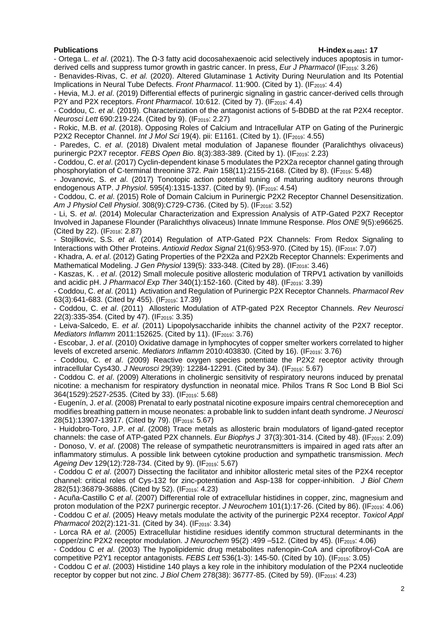### **Publications H-index 01-2021: 17**

- Ortega L. *et al*. (2021). The Ω-3 fatty acid docosahexaenoic acid selectively induces apoptosis in tumorderived cells and suppress tumor growth in gastric cancer. In press, *Eur J Pharmacol* (IF2019: 3.26)

- Benavides-Rivas, C. *et al.* (2020). Altered Glutaminase 1 Activity During Neurulation and Its Potential Implications in Neural Tube Defects. *Front Pharmacol*. 11:900. (Cited by 1). (IF<sub>2019</sub>: 4.4)

- Hevia, M.J. *et al*. (2019) Differential effects of purinergic signaling in gastric cancer-derived cells through P2Y and P2X receptors. *Front Pharmacol*. 10:612. (Cited by 7). (IF<sub>2019</sub>: 4.4)

- Coddou, C. *et al*. (2019). Characterization of the antagonist actions of 5-BDBD at the rat P2X4 receptor. *Neurosci Lett* 690:219-224. (Cited by 9). (IF<sub>2019</sub>: 2.27)

- Rokic, M.B. *et al*. (2018). Opposing Roles of Calcium and Intracellular ATP on Gating of the Purinergic P2X2 Receptor Channel. *Int J Mol Sci* 19(4). pii: E1161. (Cited by 1). (IF<sub>2019</sub>: 4.55)

- Paredes, C. *et al*. (2018) Divalent metal modulation of Japanese flounder (Paralichthys olivaceus) purinergic P2X7 receptor. *FEBS Open Bio*. 8(3):383-389. (Cited by 1). (IF2019: 2.23)

- Coddou, C. *et al*. (2017) Cyclin-dependent kinase 5 modulates the P2X2a receptor channel gating through phosphorylation of C-terminal threonine 372. Pain 158(11):2155-2168. (Cited by 8). (IF<sub>2019</sub>: 5.48)

- Jovanovic, S. *et al*. (2017) Tonotopic action potential tuning of maturing auditory neurons through endogenous ATP. *J Physiol.* 595(4):1315-1337. (Cited by 9). (IF<sub>2019</sub>: 4.54)

- Coddou, C. *et al*. (2015) Role of Domain Calcium in Purinergic P2X2 Receptor Channel Desensitization. *Am J Physiol Cell Physiol.* 308(9):C729-C736. (Cited by 5). (IF<sub>2018</sub>: 3.52)

- Li, S. *et al*. (2014) Molecular Characterization and Expression Analysis of ATP-Gated P2X7 Receptor Involved in Japanese Flounder (Paralichthys olivaceus) Innate Immune Response. *Plos ONE* 9(5):e96625. (Cited by 22). (IF<sub>2018</sub>: 2.87)

- Stojilkovic, S.S. *et al*. (2014) Regulation of ATP-Gated P2X Channels: From Redox Signaling to Interactions with Other Proteins. Antioxid Redox Signal 21(6):953-970. (Cited by 15). (IF<sub>2018</sub>: 7.07)

- Khadra, A. *et al*. (2012) Gating Properties of the P2X2a and P2X2b Receptor Channels: Experiments and Mathematical Modeling. *J Gen Physiol* 139(5): 333-348. (Cited by 28). (IF<sub>2018</sub>: 3.46)

- Kaszas, K. . *et al*. (2012) Small molecule positive allosteric modulation of TRPV1 activation by vanilloids and acidic pH. *J Pharmacol Exp Ther* 340(1):152-160. (Cited by 48). (IF<sub>2019</sub>: 3.39)

- Coddou, C. *et al*. (2011) Activation and Regulation of Purinergic P2X Receptor Channels. *Pharmacol Rev* 63(3):641-683. (Cited by 455). (IF<sub>2019</sub>: 17.39)

- Coddou, C. *et al*. (2011) Allosteric Modulation of ATP-gated P2X Receptor Channels. *Rev Neurosci* 22(3):335-354. (Cited by 47). (IF<sub>2019</sub>: 3.35)

- Leiva-Salcedo, E. *et al*. (2011) Lipopolysaccharide inhibits the channel activity of the P2X7 receptor. *Mediators Inflamm* 2011:152625. (Cited by 11). (IF<sub>2019</sub>: 3.76)

- Escobar, J. *et al*. (2010) Oxidative damage in lymphocytes of copper smelter workers correlated to higher levels of excreted arsenic. *Mediators Inflamm* 2010:403830. (Cited by 16). (IF2019: 3.76)

- Coddou, C. *et al*. (2009) Reactive oxygen species potentiate the P2X2 receptor activity through intracellular Cys430. *J Neurosci* 29(39): 12284-12291. (Cited by 34). (IF<sub>2019</sub>: 5.67)

- Coddou C. *et al*. (2009) Alterations in cholinergic sensitivity of respiratory neurons induced by prenatal nicotine: a mechanism for respiratory dysfunction in neonatal mice. Philos Trans R Soc Lond B Biol Sci 364(1529):2527-2535. (Cited by 33). (IF2019: 5.68)

- Eugenín, J. *et al*. (2008) Prenatal to early postnatal nicotine exposure impairs central chemoreception and modifies breathing pattern in mouse neonates: a probable link to sudden infant death syndrome. *J Neurosci* 28(51):13907-13917. (Cited by 79). (IF2019: 5.67)

- Huidobro-Toro, J.P. *et al*. (2008) Trace metals as allosteric brain modulators of ligand-gated receptor channels: the case of ATP-gated P2X channels. *Eur Biophys J* 37(3):301-314. (Cited by 48). (IF<sub>2019</sub>: 2.09) - Donoso, V. *et al*. (2008) The release of sympathetic neurotransmitters is impaired in aged rats after an inflammatory stimulus. A possible link between cytokine production and sympathetic transmission. *Mech Ageing Dev* 129(12):728-734. (Cited by 9). (IF<sub>2019</sub>: 5.67)

- Coddou C *et al*. (2007) Dissecting the facilitator and inhibitor allosteric metal sites of the P2X4 receptor channel: critical roles of Cys-132 for zinc-potentiation and Asp-138 for copper-inhibition. *J Biol Chem* 282(51):36879-36886. (Cited by 52). (IF2019: 4.23)

- Acuña-Castillo C *et al*. (2007) Differential role of extracellular histidines in copper, zinc, magnesium and proton modulation of the P2X7 purinergic receptor. *J Neurochem* 101(1):17-26. (Cited by 86). (IF2019: 4.06) - Coddou C *et al*. (2005) Heavy metals modulate the activity of the purinergic P2X4 receptor. *Toxicol Appl Pharmacol* 202(2):121-31. (Cited by 34). (IF<sub>2019</sub>: 3.34)

- Lorca RA *et al*. (2005) Extracellular histidine residues identify common structural determinants in the copper/zinc P2X2 receptor modulation. *J Neurochem* 95(2) :499 –512. (Cited by 45). (IF2019: 4.06)

- Coddou C *et al*. (2003) The hypolipidemic drug metabolites nafenopin-CoA and ciprofibroyl-CoA are competitive P2Y1 receptor antagonists. *FEBS Lett* 536(1-3): 145-50. (Cited by 10). (IF2019: 3.05)

- Coddou C *et al*. (2003) Histidine 140 plays a key role in the inhibitory modulation of the P2X4 nucleotide receptor by copper but not zinc. *J Biol Chem* 278(38): 36777-85. (Cited by 59). (IF2019: 4.23)